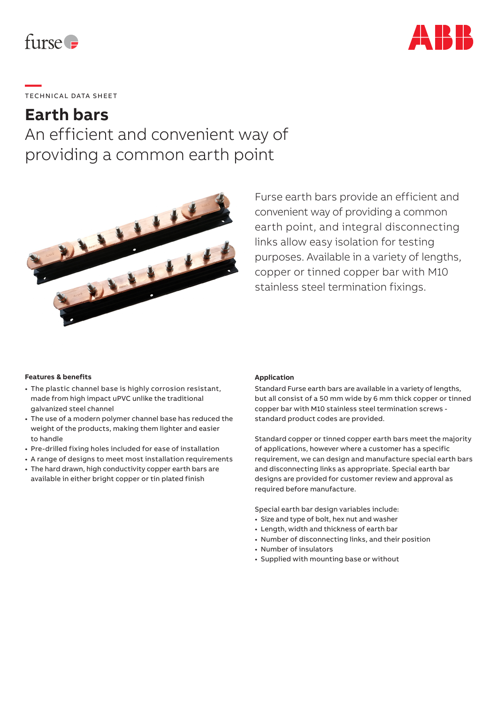



# **—**  TECHNICAL DATA SHEET

# **Earth bars**

An efficient and convenient way of providing a common earth point



Furse earth bars provide an efficient and convenient way of providing a common earth point, and integral disconnecting links allow easy isolation for testing purposes. Available in a variety of lengths, copper or tinned copper bar with M10 stainless steel termination fixings.

## **Features & benefits**

- The plastic channel base is highly corrosion resistant, made from high impact uPVC unlike the traditional galvanized steel channel
- The use of a modern polymer channel base has reduced the weight of the products, making them lighter and easier to handle
- Pre-drilled fixing holes included for ease of installation
- A range of designs to meet most installation requirements
- The hard drawn, high conductivity copper earth bars are available in either bright copper or tin plated finish

#### **Application**

Standard Furse earth bars are available in a variety of lengths, but all consist of a 50 mm wide by 6 mm thick copper or tinned copper bar with M10 stainless steel termination screws standard product codes are provided.

Standard copper or tinned copper earth bars meet the majority of applications, however where a customer has a specific requirement, we can design and manufacture special earth bars and disconnecting links as appropriate. Special earth bar designs are provided for customer review and approval as required before manufacture.

Special earth bar design variables include:

- Size and type of bolt, hex nut and washer
- Length, width and thickness of earth bar
- Number of disconnecting links, and their position
- Number of insulators
- Supplied with mounting base or without